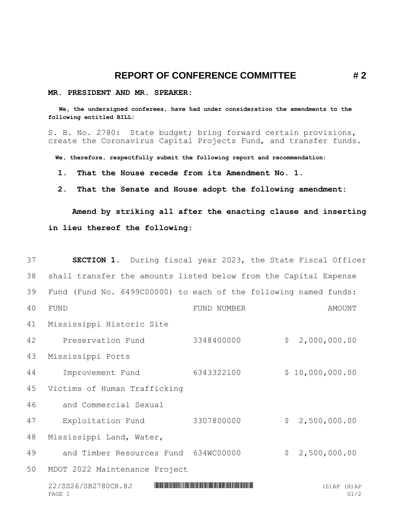## **REPORT OF CONFERENCE COMMITTEE # 2**

## **MR. PRESIDENT AND MR. SPEAKER:**

 **We, the undersigned conferees, have had under consideration the amendments to the following entitled BILL:**

S. B. No. 2780: State budget; bring forward certain provisions, create the Coronavirus Capital Projects Fund, and transfer funds.

 **We, therefore, respectfully submit the following report and recommendation:**

 **1. That the House recede from its Amendment No. 1.**

 **2. That the Senate and House adopt the following amendment:**

**Amend by striking all after the enacting clause and inserting in lieu thereof the following:**

| 37 | <b>SECTION 1.</b> During fiscal year 2023, the State Fiscal Officer |             |                 |                           |
|----|---------------------------------------------------------------------|-------------|-----------------|---------------------------|
| 38 | shall transfer the amounts listed below from the Capital Expense    |             |                 |                           |
| 39 | Fund (Fund No. 6499C00000) to each of the following named funds:    |             |                 |                           |
| 40 | FUND                                                                | FUND NUMBER |                 | AMOUNT                    |
| 41 | Mississippi Historic Site                                           |             |                 |                           |
| 42 | Preservation Fund                                                   | 3348400000  | \$              | 2,000,000.00              |
| 43 | Mississippi Ports                                                   |             |                 |                           |
| 44 | Improvement Fund                                                    | 6343322100  | \$10,000,000.00 |                           |
| 45 | Victims of Human Trafficking                                        |             |                 |                           |
| 46 | and Commercial Sexual                                               |             |                 |                           |
| 47 | Exploitation Fund                                                   | 3307800000  | \$2,500,000.00  |                           |
| 48 | Mississippi Land, Water,                                            |             |                 |                           |
| 49 | and Timber Resources Fund 634WC00000                                |             | \$              | 2,500,000.00              |
| 50 | MDOT 2022 Maintenance Project                                       |             |                 |                           |
|    | 22/SS26/SB2780CR.8J<br>PAGE 1                                       |             |                 | $(S)$ AP $(H)$ AP<br>G1/2 |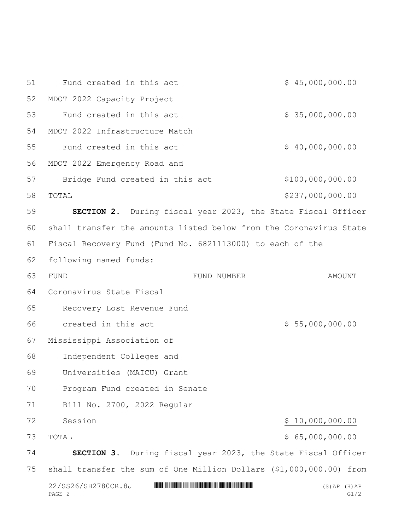$22/SS26/SB2780CR.8J$  \* HINDER THE SERVICE SERVICE SERVICE SERVICE SERVICE SERVICE SERVICE SERVICE SERVICE SERVICE SERVICE SERVICE SERVICE SERVICE SERVICE SERVICE SERVICE SERVICE SERVICE SERVICE SERVICE SERVICE SERVICE SERVI PAGE 2 G1/2 51 Fund created in this act  $$ 45,000,000.00$  MDOT 2022 Capacity Project 53 Fund created in this act  $$ 35,000,000.00$  MDOT 2022 Infrastructure Match 55 Fund created in this act  $\frac{1}{2}$  \$ 40,000,000.00 MDOT 2022 Emergency Road and 57 Bridge Fund created in this act \$100,000,000.00 TOTAL \$237,000,000.00 **SECTION 2.** During fiscal year 2023, the State Fiscal Officer shall transfer the amounts listed below from the Coronavirus State Fiscal Recovery Fund (Fund No. 6821113000) to each of the following named funds: 63 FUND NUMBER AMOUNT Coronavirus State Fiscal Recovery Lost Revenue Fund 66 created in this act  $$ 55,000,000.00$  Mississippi Association of Independent Colleges and Universities (MAICU) Grant Program Fund created in Senate Bill No. 2700, 2022 Regular 72 Session \$ 10,000,000.00 TOTAL \$ 65,000,000.00 **SECTION 3.** During fiscal year 2023, the State Fiscal Officer shall transfer the sum of One Million Dollars (\$1,000,000.00) from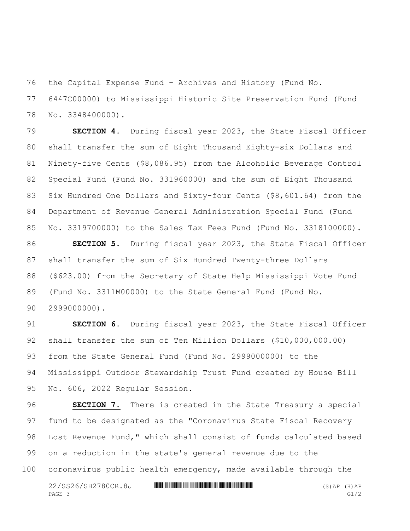the Capital Expense Fund - Archives and History (Fund No.

 6447C00000) to Mississippi Historic Site Preservation Fund (Fund No. 3348400000).

 **SECTION 4.** During fiscal year 2023, the State Fiscal Officer shall transfer the sum of Eight Thousand Eighty-six Dollars and Ninety-five Cents (\$8,086.95) from the Alcoholic Beverage Control Special Fund (Fund No. 331960000) and the sum of Eight Thousand Six Hundred One Dollars and Sixty-four Cents (\$8,601.64) from the Department of Revenue General Administration Special Fund (Fund No. 3319700000) to the Sales Tax Fees Fund (Fund No. 3318100000).

 **SECTION 5.** During fiscal year 2023, the State Fiscal Officer shall transfer the sum of Six Hundred Twenty-three Dollars (\$623.00) from the Secretary of State Help Mississippi Vote Fund (Fund No. 3311M00000) to the State General Fund (Fund No. 2999000000).

 **SECTION 6.** During fiscal year 2023, the State Fiscal Officer shall transfer the sum of Ten Million Dollars (\$10,000,000.00) from the State General Fund (Fund No. 2999000000) to the Mississippi Outdoor Stewardship Trust Fund created by House Bill No. 606, 2022 Regular Session.

 $22/SS26/SB2780CR.8J$  \*ssampling the state of the state of the state of the state of the state of the state of the state of the state of the state of the state of the state of the state of the state of the state of the state PAGE 3 G1/2 **SECTION 7.** There is created in the State Treasury a special fund to be designated as the "Coronavirus State Fiscal Recovery Lost Revenue Fund," which shall consist of funds calculated based on a reduction in the state's general revenue due to the coronavirus public health emergency, made available through the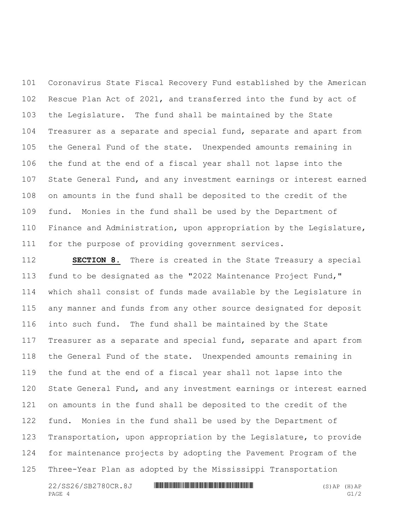Coronavirus State Fiscal Recovery Fund established by the American Rescue Plan Act of 2021, and transferred into the fund by act of the Legislature. The fund shall be maintained by the State Treasurer as a separate and special fund, separate and apart from the General Fund of the state. Unexpended amounts remaining in the fund at the end of a fiscal year shall not lapse into the State General Fund, and any investment earnings or interest earned on amounts in the fund shall be deposited to the credit of the fund. Monies in the fund shall be used by the Department of Finance and Administration, upon appropriation by the Legislature, for the purpose of providing government services.

 **SECTION 8.** There is created in the State Treasury a special fund to be designated as the "2022 Maintenance Project Fund," which shall consist of funds made available by the Legislature in any manner and funds from any other source designated for deposit into such fund. The fund shall be maintained by the State Treasurer as a separate and special fund, separate and apart from the General Fund of the state. Unexpended amounts remaining in the fund at the end of a fiscal year shall not lapse into the State General Fund, and any investment earnings or interest earned on amounts in the fund shall be deposited to the credit of the fund. Monies in the fund shall be used by the Department of Transportation, upon appropriation by the Legislature, to provide for maintenance projects by adopting the Pavement Program of the Three-Year Plan as adopted by the Mississippi Transportation

 $22/SS26/SB2780CR.8J$  \*ssampling the state of the state of the state of the state of the state of the state of the state of the state of the state of the state of the state of the state of the state of the state of the state PAGE 4 G1/2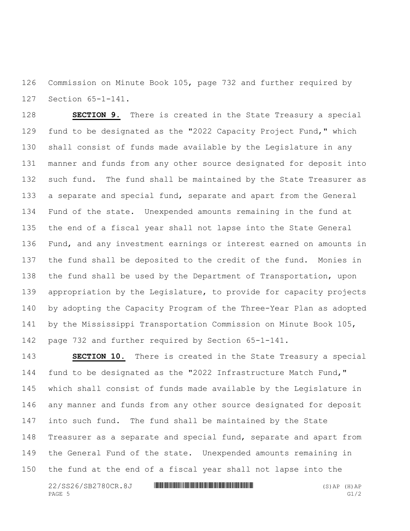Commission on Minute Book 105, page 732 and further required by Section 65-1-141.

 **SECTION 9.** There is created in the State Treasury a special fund to be designated as the "2022 Capacity Project Fund," which shall consist of funds made available by the Legislature in any manner and funds from any other source designated for deposit into such fund. The fund shall be maintained by the State Treasurer as a separate and special fund, separate and apart from the General Fund of the state. Unexpended amounts remaining in the fund at the end of a fiscal year shall not lapse into the State General Fund, and any investment earnings or interest earned on amounts in the fund shall be deposited to the credit of the fund. Monies in the fund shall be used by the Department of Transportation, upon appropriation by the Legislature, to provide for capacity projects by adopting the Capacity Program of the Three-Year Plan as adopted by the Mississippi Transportation Commission on Minute Book 105, page 732 and further required by Section 65-1-141.

 **SECTION 10.** There is created in the State Treasury a special fund to be designated as the "2022 Infrastructure Match Fund," which shall consist of funds made available by the Legislature in any manner and funds from any other source designated for deposit into such fund. The fund shall be maintained by the State Treasurer as a separate and special fund, separate and apart from the General Fund of the state. Unexpended amounts remaining in the fund at the end of a fiscal year shall not lapse into the

 $22/SS26/SB2780CR.8J$  \*ssampling the state of the state of the state of the state of the state of the state of the state of the state of the state of the state of the state of the state of the state of the state of the state PAGE 5 G1/2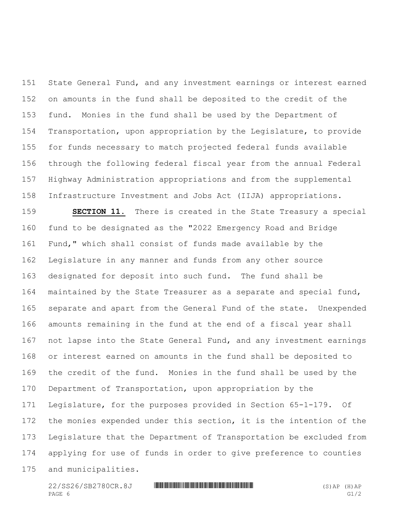State General Fund, and any investment earnings or interest earned on amounts in the fund shall be deposited to the credit of the fund. Monies in the fund shall be used by the Department of Transportation, upon appropriation by the Legislature, to provide for funds necessary to match projected federal funds available through the following federal fiscal year from the annual Federal Highway Administration appropriations and from the supplemental Infrastructure Investment and Jobs Act (IIJA) appropriations.

 **SECTION 11.** There is created in the State Treasury a special fund to be designated as the "2022 Emergency Road and Bridge Fund," which shall consist of funds made available by the Legislature in any manner and funds from any other source designated for deposit into such fund. The fund shall be maintained by the State Treasurer as a separate and special fund, separate and apart from the General Fund of the state. Unexpended amounts remaining in the fund at the end of a fiscal year shall not lapse into the State General Fund, and any investment earnings or interest earned on amounts in the fund shall be deposited to the credit of the fund. Monies in the fund shall be used by the Department of Transportation, upon appropriation by the Legislature, for the purposes provided in Section 65-1-179. Of the monies expended under this section, it is the intention of the Legislature that the Department of Transportation be excluded from applying for use of funds in order to give preference to counties and municipalities.

 $22/SS26/SB2780CR.8J$  \*ssampling the state of the state of the state of the state of the state of the state of the state of the state of the state of the state of the state of the state of the state of the state of the state PAGE 6 G1/2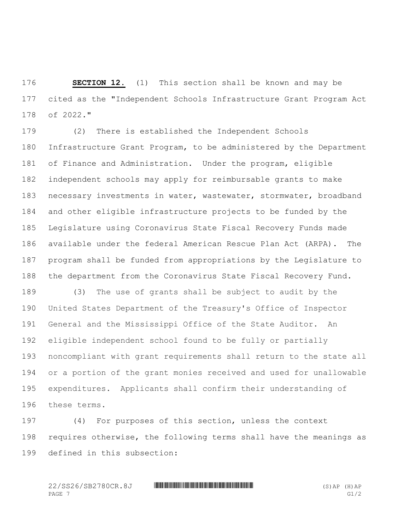**SECTION 12.** (1) This section shall be known and may be cited as the "Independent Schools Infrastructure Grant Program Act of 2022."

 (2) There is established the Independent Schools Infrastructure Grant Program, to be administered by the Department of Finance and Administration. Under the program, eligible independent schools may apply for reimbursable grants to make 183 necessary investments in water, wastewater, stormwater, broadband and other eligible infrastructure projects to be funded by the Legislature using Coronavirus State Fiscal Recovery Funds made available under the federal American Rescue Plan Act (ARPA). The program shall be funded from appropriations by the Legislature to the department from the Coronavirus State Fiscal Recovery Fund.

 (3) The use of grants shall be subject to audit by the United States Department of the Treasury's Office of Inspector General and the Mississippi Office of the State Auditor. An eligible independent school found to be fully or partially noncompliant with grant requirements shall return to the state all or a portion of the grant monies received and used for unallowable expenditures. Applicants shall confirm their understanding of these terms.

 (4) For purposes of this section, unless the context requires otherwise, the following terms shall have the meanings as defined in this subsection:

 $22/SS26/SB2780CR.8J$  . THE THE THE THE THE THEFT HE SET ON AP (H) AP PAGE  $7$  G1/2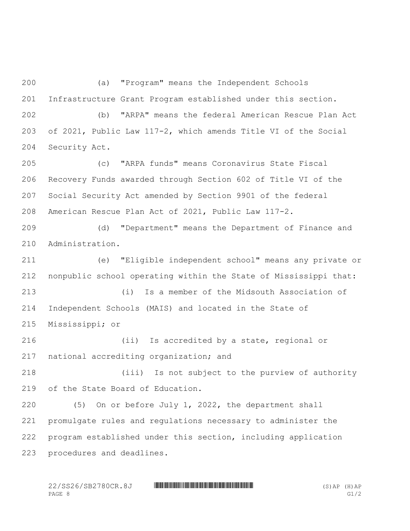(a) "Program" means the Independent Schools Infrastructure Grant Program established under this section. (b) "ARPA" means the federal American Rescue Plan Act

 of 2021, Public Law 117-2, which amends Title VI of the Social Security Act.

 (c) "ARPA funds" means Coronavirus State Fiscal Recovery Funds awarded through Section 602 of Title VI of the Social Security Act amended by Section 9901 of the federal American Rescue Plan Act of 2021, Public Law 117-2.

 (d) "Department" means the Department of Finance and Administration.

 (e) "Eligible independent school" means any private or nonpublic school operating within the State of Mississippi that:

 (i) Is a member of the Midsouth Association of Independent Schools (MAIS) and located in the State of Mississippi; or

 (ii) Is accredited by a state, regional or national accrediting organization; and

 (iii) Is not subject to the purview of authority of the State Board of Education.

 (5) On or before July 1, 2022, the department shall promulgate rules and regulations necessary to administer the program established under this section, including application procedures and deadlines.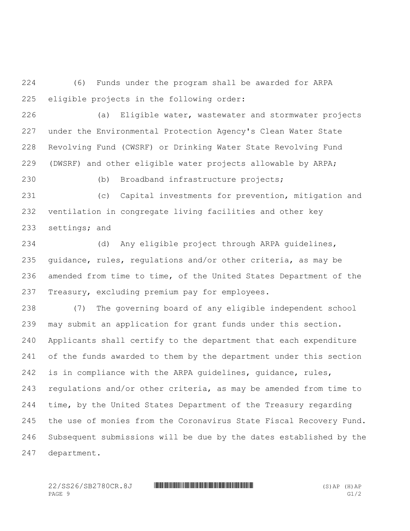(6) Funds under the program shall be awarded for ARPA eligible projects in the following order:

 (a) Eligible water, wastewater and stormwater projects under the Environmental Protection Agency's Clean Water State Revolving Fund (CWSRF) or Drinking Water State Revolving Fund (DWSRF) and other eligible water projects allowable by ARPA;

(b) Broadband infrastructure projects;

 (c) Capital investments for prevention, mitigation and ventilation in congregate living facilities and other key settings; and

 (d) Any eligible project through ARPA guidelines, guidance, rules, regulations and/or other criteria, as may be amended from time to time, of the United States Department of the Treasury, excluding premium pay for employees.

 (7) The governing board of any eligible independent school may submit an application for grant funds under this section. Applicants shall certify to the department that each expenditure of the funds awarded to them by the department under this section is in compliance with the ARPA guidelines, guidance, rules, regulations and/or other criteria, as may be amended from time to time, by the United States Department of the Treasury regarding the use of monies from the Coronavirus State Fiscal Recovery Fund. Subsequent submissions will be due by the dates established by the department.

 $22/SS26/SB2780CR.8J$  . THE THE THE TELEVISION SETTING THE SETTING OF A PAPER (S) AP (H) AP PAGE 9 G1/2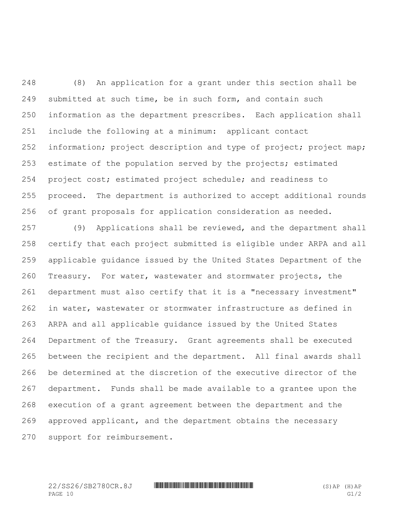(8) An application for a grant under this section shall be submitted at such time, be in such form, and contain such information as the department prescribes. Each application shall include the following at a minimum: applicant contact 252 information; project description and type of project; project map; estimate of the population served by the projects; estimated project cost; estimated project schedule; and readiness to proceed. The department is authorized to accept additional rounds of grant proposals for application consideration as needed.

 (9) Applications shall be reviewed, and the department shall certify that each project submitted is eligible under ARPA and all applicable guidance issued by the United States Department of the Treasury. For water, wastewater and stormwater projects, the department must also certify that it is a "necessary investment" in water, wastewater or stormwater infrastructure as defined in ARPA and all applicable guidance issued by the United States Department of the Treasury. Grant agreements shall be executed between the recipient and the department. All final awards shall be determined at the discretion of the executive director of the department. Funds shall be made available to a grantee upon the execution of a grant agreement between the department and the approved applicant, and the department obtains the necessary support for reimbursement.

 $22/SS26/SB2780CR.8J$  . THE THE THE TELEVISION SETTING THE SETTING OF A PAPER (S) AP (H) AP PAGE  $10$  G1/2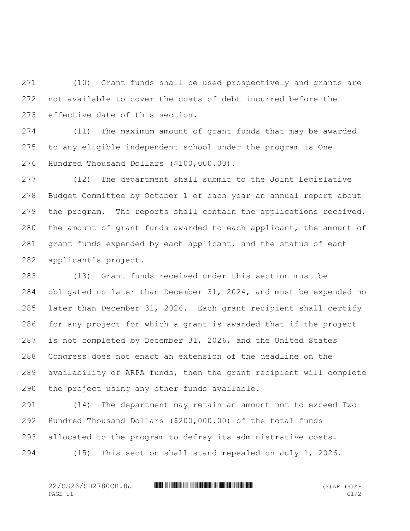(10) Grant funds shall be used prospectively and grants are not available to cover the costs of debt incurred before the effective date of this section.

 (11) The maximum amount of grant funds that may be awarded to any eligible independent school under the program is One Hundred Thousand Dollars (\$100,000.00).

 (12) The department shall submit to the Joint Legislative Budget Committee by October 1 of each year an annual report about the program. The reports shall contain the applications received, the amount of grant funds awarded to each applicant, the amount of grant funds expended by each applicant, and the status of each applicant's project.

 (13) Grant funds received under this section must be obligated no later than December 31, 2024, and must be expended no later than December 31, 2026. Each grant recipient shall certify for any project for which a grant is awarded that if the project is not completed by December 31, 2026, and the United States Congress does not enact an extension of the deadline on the availability of ARPA funds, then the grant recipient will complete the project using any other funds available.

 (14) The department may retain an amount not to exceed Two Hundred Thousand Dollars (\$200,000.00) of the total funds allocated to the program to defray its administrative costs. (15) This section shall stand repealed on July 1, 2026.

 $22/SS26/SB2780CR.8J$  . THE THE THE TELEVISION SETTING THE SETTING OF A PAPER (S) AP (H) AP PAGE 11 G1/2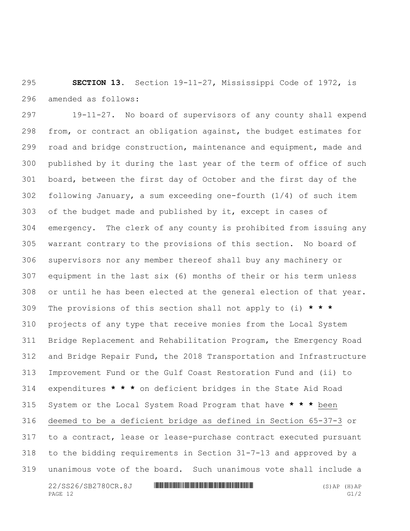**SECTION 13.** Section 19-11-27, Mississippi Code of 1972, is amended as follows:

22/SS26/SB2780CR.8J \*SS26/OSB2780CR.8J\* (S)AP (H)AP 19-11-27. No board of supervisors of any county shall expend from, or contract an obligation against, the budget estimates for road and bridge construction, maintenance and equipment, made and published by it during the last year of the term of office of such board, between the first day of October and the first day of the following January, a sum exceeding one-fourth (1/4) of such item of the budget made and published by it, except in cases of emergency. The clerk of any county is prohibited from issuing any warrant contrary to the provisions of this section. No board of supervisors nor any member thereof shall buy any machinery or equipment in the last six (6) months of their or his term unless or until he has been elected at the general election of that year. The provisions of this section shall not apply to (i) **\* \* \*** projects of any type that receive monies from the Local System Bridge Replacement and Rehabilitation Program, the Emergency Road and Bridge Repair Fund, the 2018 Transportation and Infrastructure Improvement Fund or the Gulf Coast Restoration Fund and (ii) to expenditures **\* \* \*** on deficient bridges in the State Aid Road System or the Local System Road Program that have **\* \* \*** been deemed to be a deficient bridge as defined in Section 65-37-3 or to a contract, lease or lease-purchase contract executed pursuant to the bidding requirements in Section 31-7-13 and approved by a unanimous vote of the board. Such unanimous vote shall include a

PAGE 12 G1/2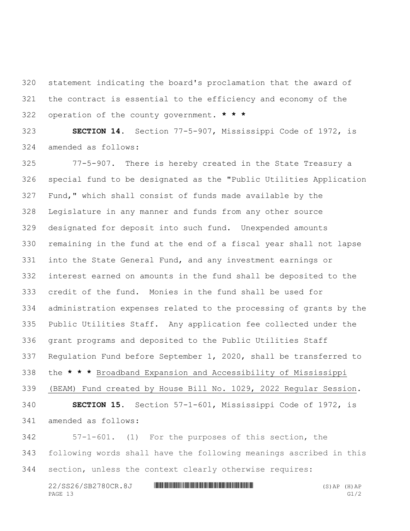statement indicating the board's proclamation that the award of the contract is essential to the efficiency and economy of the operation of the county government. **\* \* \***

 **SECTION 14.** Section 77-5-907, Mississippi Code of 1972, is amended as follows:

 77-5-907. There is hereby created in the State Treasury a special fund to be designated as the "Public Utilities Application Fund," which shall consist of funds made available by the Legislature in any manner and funds from any other source designated for deposit into such fund. Unexpended amounts remaining in the fund at the end of a fiscal year shall not lapse into the State General Fund, and any investment earnings or interest earned on amounts in the fund shall be deposited to the credit of the fund. Monies in the fund shall be used for administration expenses related to the processing of grants by the Public Utilities Staff. Any application fee collected under the grant programs and deposited to the Public Utilities Staff Regulation Fund before September 1, 2020, shall be transferred to the **\* \* \*** Broadband Expansion and Accessibility of Mississippi (BEAM) Fund created by House Bill No. 1029, 2022 Regular Session. **SECTION 15.** Section 57-1-601, Mississippi Code of 1972, is amended as follows:

 57-1-601. (1) For the purposes of this section, the following words shall have the following meanings ascribed in this section, unless the context clearly otherwise requires:

 $22/SS26/SB2780CR.8J$  \*ssample and the state of the state of the state of the state of the state of the state of the state of the state of the state of the state of the state of the state of the state of the state of the sta PAGE 13 G1/2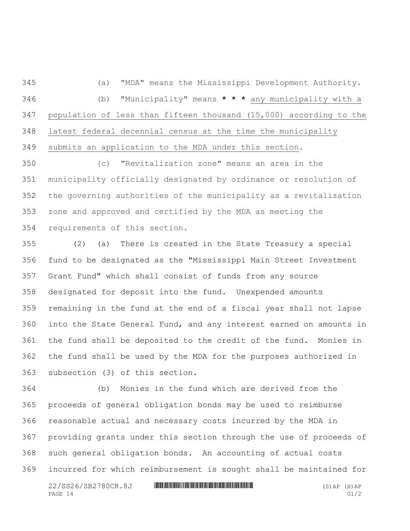(a) "MDA" means the Mississippi Development Authority. (b) "Municipality" means **\* \* \*** any municipality with a population of less than fifteen thousand (15,000) according to the latest federal decennial census at the time the municipality submits an application to the MDA under this section.

 (c) "Revitalization zone" means an area in the municipality officially designated by ordinance or resolution of the governing authorities of the municipality as a revitalization zone and approved and certified by the MDA as meeting the requirements of this section.

 (2) (a) There is created in the State Treasury a special fund to be designated as the "Mississippi Main Street Investment Grant Fund" which shall consist of funds from any source designated for deposit into the fund. Unexpended amounts remaining in the fund at the end of a fiscal year shall not lapse into the State General Fund, and any interest earned on amounts in the fund shall be deposited to the credit of the fund. Monies in the fund shall be used by the MDA for the purposes authorized in subsection (3) of this section.

 $22/SS26/SB2780CR.8J$  \*ssample and the state of the state of the state of the state of the state of the state of the state of the state of the state of the state of the state of the state of the state of the state of the sta (b) Monies in the fund which are derived from the proceeds of general obligation bonds may be used to reimburse reasonable actual and necessary costs incurred by the MDA in providing grants under this section through the use of proceeds of such general obligation bonds. An accounting of actual costs incurred for which reimbursement is sought shall be maintained for

PAGE 14 G1/2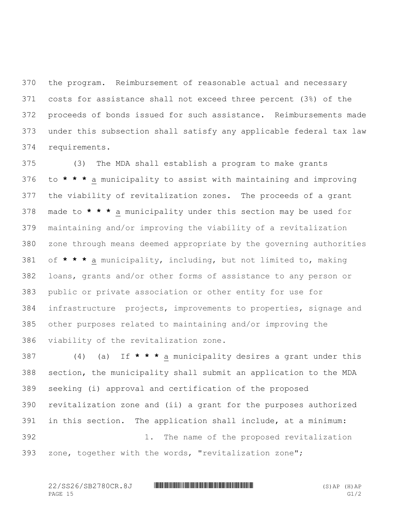the program. Reimbursement of reasonable actual and necessary costs for assistance shall not exceed three percent (3%) of the proceeds of bonds issued for such assistance. Reimbursements made under this subsection shall satisfy any applicable federal tax law requirements.

 (3) The MDA shall establish a program to make grants to **\* \* \*** a municipality to assist with maintaining and improving the viability of revitalization zones. The proceeds of a grant made to **\* \* \*** a municipality under this section may be used for maintaining and/or improving the viability of a revitalization zone through means deemed appropriate by the governing authorities of **\* \* \*** a municipality, including, but not limited to, making loans, grants and/or other forms of assistance to any person or public or private association or other entity for use for infrastructure projects, improvements to properties, signage and other purposes related to maintaining and/or improving the viability of the revitalization zone.

 (4) (a) If **\* \* \*** a municipality desires a grant under this section, the municipality shall submit an application to the MDA seeking (i) approval and certification of the proposed revitalization zone and (ii) a grant for the purposes authorized in this section. The application shall include, at a minimum: 1. The name of the proposed revitalization zone, together with the words, "revitalization zone";

 $22/SS26/SB2780CR.8J$  . THE THE THE TELEVISION SETTING THE SETTING OF A PAPER (S) AP (H) AP PAGE 15 G1/2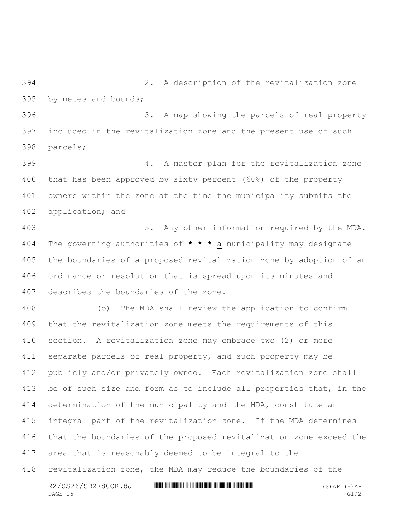2. A description of the revitalization zone by metes and bounds;

 3. A map showing the parcels of real property included in the revitalization zone and the present use of such parcels;

 4. A master plan for the revitalization zone that has been approved by sixty percent (60%) of the property owners within the zone at the time the municipality submits the application; and

 5. Any other information required by the MDA. The governing authorities of **\* \* \*** a municipality may designate the boundaries of a proposed revitalization zone by adoption of an ordinance or resolution that is spread upon its minutes and describes the boundaries of the zone.

 (b) The MDA shall review the application to confirm that the revitalization zone meets the requirements of this section. A revitalization zone may embrace two (2) or more separate parcels of real property, and such property may be publicly and/or privately owned. Each revitalization zone shall be of such size and form as to include all properties that, in the determination of the municipality and the MDA, constitute an integral part of the revitalization zone. If the MDA determines that the boundaries of the proposed revitalization zone exceed the area that is reasonably deemed to be integral to the revitalization zone, the MDA may reduce the boundaries of the

 $22/SS26/SB2780CR.8J$  \*ssampling the state of the state of the state of the state of the state of the state of the state of the state of the state of the state of the state of the state of the state of the state of the state PAGE 16 G1/2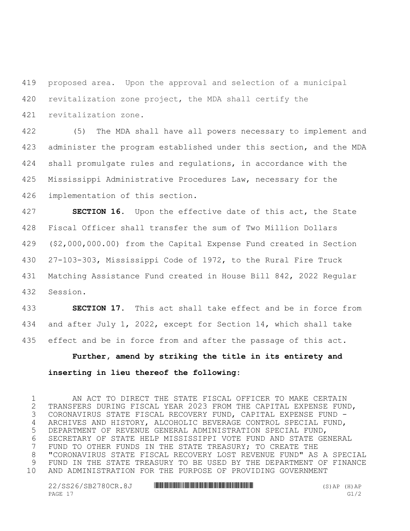proposed area. Upon the approval and selection of a municipal revitalization zone project, the MDA shall certify the revitalization zone.

 (5) The MDA shall have all powers necessary to implement and administer the program established under this section, and the MDA shall promulgate rules and regulations, in accordance with the Mississippi Administrative Procedures Law, necessary for the implementation of this section.

 **SECTION 16.** Upon the effective date of this act, the State Fiscal Officer shall transfer the sum of Two Million Dollars (\$2,000,000.00) from the Capital Expense Fund created in Section 27-103-303, Mississippi Code of 1972, to the Rural Fire Truck Matching Assistance Fund created in House Bill 842, 2022 Regular Session.

 **SECTION 17.** This act shall take effect and be in force from and after July 1, 2022, except for Section 14, which shall take effect and be in force from and after the passage of this act.

**Further, amend by striking the title in its entirety and inserting in lieu thereof the following:**

 AN ACT TO DIRECT THE STATE FISCAL OFFICER TO MAKE CERTAIN TRANSFERS DURING FISCAL YEAR 2023 FROM THE CAPITAL EXPENSE FUND, CORONAVIRUS STATE FISCAL RECOVERY FUND, CAPITAL EXPENSE FUND - ARCHIVES AND HISTORY, ALCOHOLIC BEVERAGE CONTROL SPECIAL FUND, DEPARTMENT OF REVENUE GENERAL ADMINISTRATION SPECIAL FUND, SECRETARY OF STATE HELP MISSISSIPPI VOTE FUND AND STATE GENERAL FUND TO OTHER FUNDS IN THE STATE TREASURY; TO CREATE THE "CORONAVIRUS STATE FISCAL RECOVERY LOST REVENUE FUND" AS A SPECIAL FUND IN THE STATE TREASURY TO BE USED BY THE DEPARTMENT OF FINANCE AND ADMINISTRATION FOR THE PURPOSE OF PROVIDING GOVERNMENT

| 22/SS26/SB2780CR.8J | $(S)$ AP $(H)$ AP |  |
|---------------------|-------------------|--|
| PAGE 17             |                   |  |